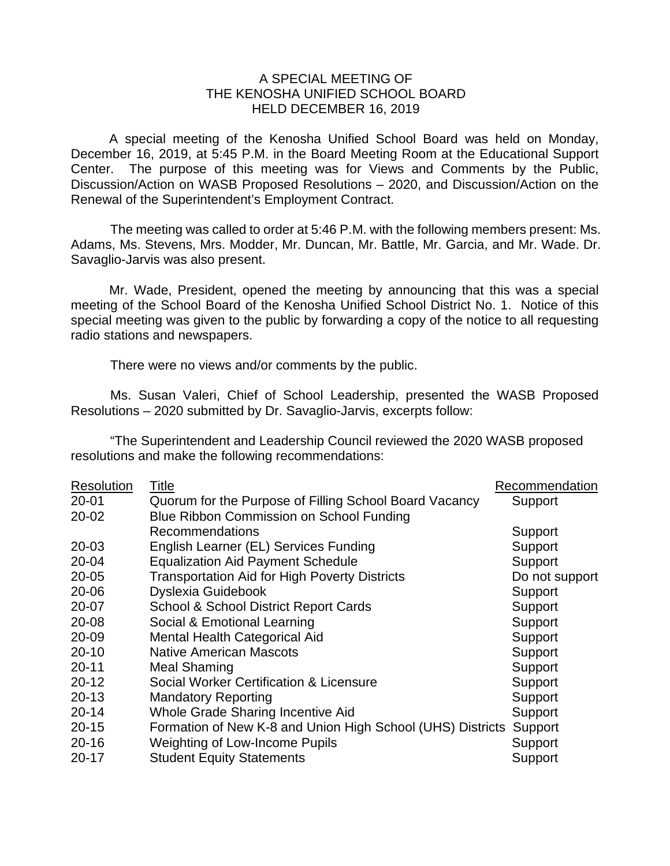## A SPECIAL MEETING OF THE KENOSHA UNIFIED SCHOOL BOARD HELD DECEMBER 16, 2019

A special meeting of the Kenosha Unified School Board was held on Monday, December 16, 2019, at 5:45 P.M. in the Board Meeting Room at the Educational Support Center. The purpose of this meeting was for Views and Comments by the Public, Discussion/Action on WASB Proposed Resolutions – 2020, and Discussion/Action on the Renewal of the Superintendent's Employment Contract.

The meeting was called to order at 5:46 P.M. with the following members present: Ms. Adams, Ms. Stevens, Mrs. Modder, Mr. Duncan, Mr. Battle, Mr. Garcia, and Mr. Wade. Dr. Savaglio-Jarvis was also present.

Mr. Wade, President, opened the meeting by announcing that this was a special meeting of the School Board of the Kenosha Unified School District No. 1. Notice of this special meeting was given to the public by forwarding a copy of the notice to all requesting radio stations and newspapers.

There were no views and/or comments by the public.

Ms. Susan Valeri, Chief of School Leadership, presented the WASB Proposed Resolutions – 2020 submitted by Dr. Savaglio-Jarvis, excerpts follow:

"The Superintendent and Leadership Council reviewed the 2020 WASB proposed resolutions and make the following recommendations:

| <b>Resolution</b> | Title                                                      | Recommendation |
|-------------------|------------------------------------------------------------|----------------|
| 20-01             | Quorum for the Purpose of Filling School Board Vacancy     | Support        |
| 20-02             | Blue Ribbon Commission on School Funding                   |                |
|                   | Recommendations                                            | Support        |
| 20-03             | English Learner (EL) Services Funding                      | Support        |
| 20-04             | <b>Equalization Aid Payment Schedule</b>                   | Support        |
| $20 - 05$         | <b>Transportation Aid for High Poverty Districts</b>       | Do not support |
| 20-06             | Dyslexia Guidebook                                         | Support        |
| 20-07             | <b>School &amp; School District Report Cards</b>           | Support        |
| 20-08             | Social & Emotional Learning                                | Support        |
| 20-09             | Mental Health Categorical Aid                              | Support        |
| $20 - 10$         | <b>Native American Mascots</b>                             | Support        |
| $20 - 11$         | <b>Meal Shaming</b>                                        | Support        |
| $20 - 12$         | Social Worker Certification & Licensure                    | Support        |
| $20 - 13$         | <b>Mandatory Reporting</b>                                 | Support        |
| $20 - 14$         | Whole Grade Sharing Incentive Aid                          | Support        |
| $20 - 15$         | Formation of New K-8 and Union High School (UHS) Districts | Support        |
| $20 - 16$         | Weighting of Low-Income Pupils                             | Support        |
| $20 - 17$         | <b>Student Equity Statements</b>                           | Support        |